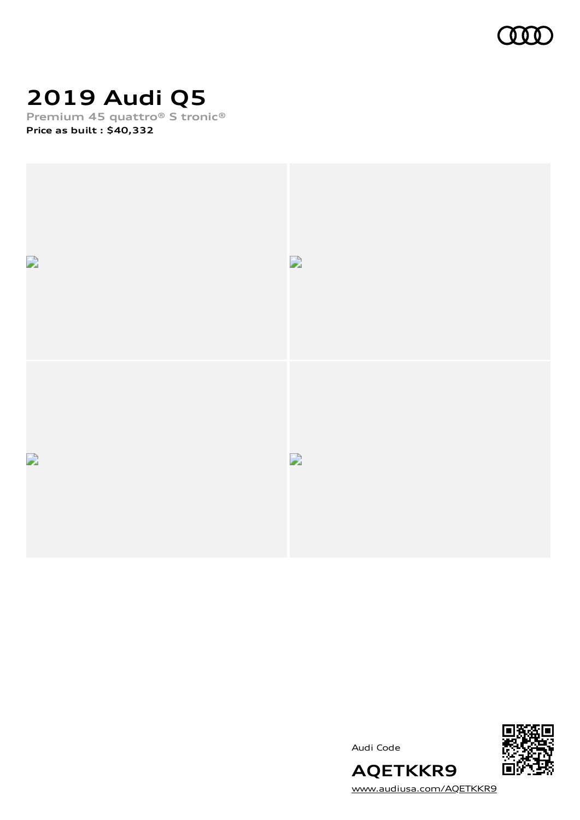

# **2019 Audi Q5**

**Premium 45 quattro® S tronic® Price as built [:](#page-10-0) \$40,332**



Audi Code



[www.audiusa.com/AQETKKR9](https://www.audiusa.com/AQETKKR9)

**AQETKKR9**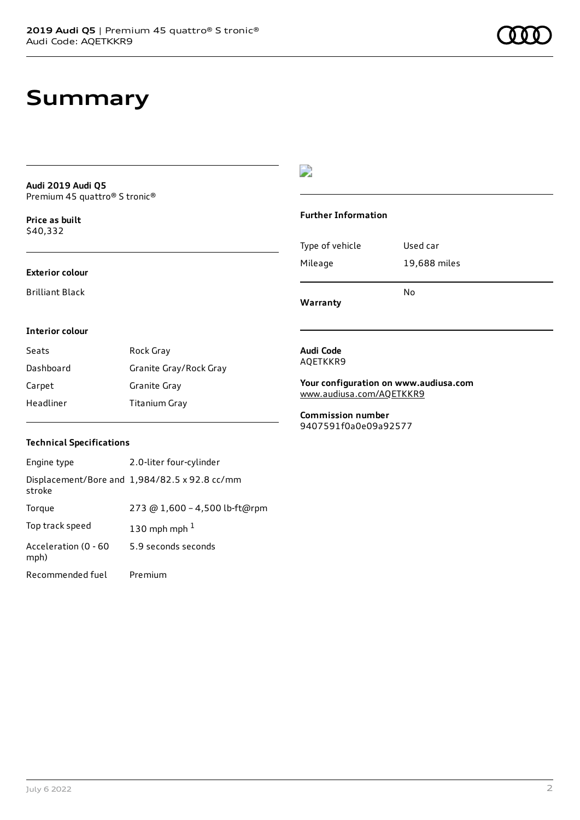# **Summary**

**Audi 2019 Audi Q5** Premium 45 quattro® S tronic®

**Price as buil[t](#page-10-0)** \$40,332

#### **Exterior colour**

Brilliant Black

### $\overline{\phantom{a}}$

#### **Further Information**

|                 | N٥           |
|-----------------|--------------|
| Mileage         | 19,688 miles |
| Type of vehicle | Used car     |

**Warranty**

#### **Interior colour**

| Seats     | Rock Gray              |
|-----------|------------------------|
| Dashboard | Granite Gray/Rock Gray |
| Carpet    | Granite Gray           |
| Headliner | Titanium Gray          |

#### **Audi Code** AQETKKR9

**Your configuration on www.audiusa.com** [www.audiusa.com/AQETKKR9](https://www.audiusa.com/AQETKKR9)

**Commission number** 9407591f0a0e09a92577

### **Technical Specifications**

| Engine type                  | 2.0-liter four-cylinder                       |
|------------------------------|-----------------------------------------------|
| stroke                       | Displacement/Bore and 1,984/82.5 x 92.8 cc/mm |
| Torque                       | 273 @ 1,600 - 4,500 lb-ft@rpm                 |
| Top track speed              | 130 mph mph $1$                               |
| Acceleration (0 - 60<br>mph) | 5.9 seconds seconds                           |
| Recommended fuel             | Premium                                       |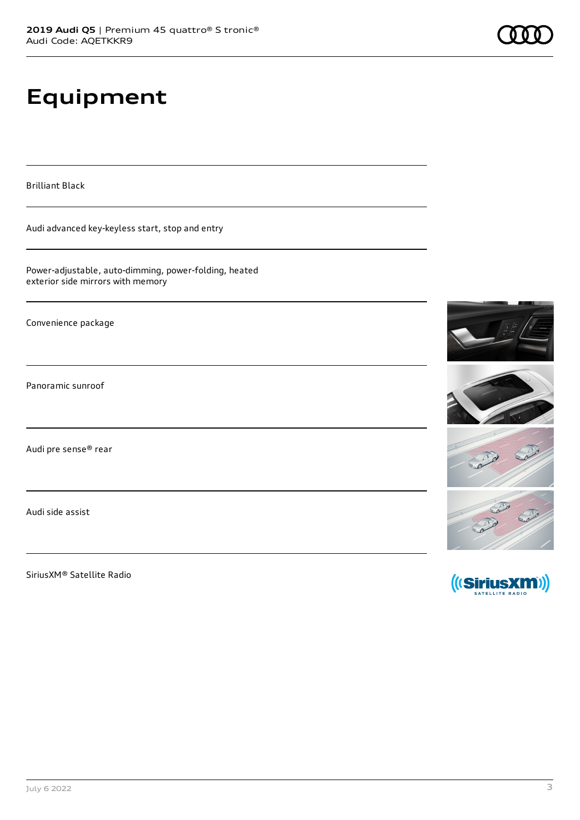# **Equipment**

Brilliant Black

Audi advanced key-keyless start, stop and entry

Power-adjustable, auto-dimming, power-folding, heated exterior side mirrors with memory

Convenience package

Panoramic sunroof

Audi pre sense® rear

Audi side assist

SiriusXM® Satellite Radio

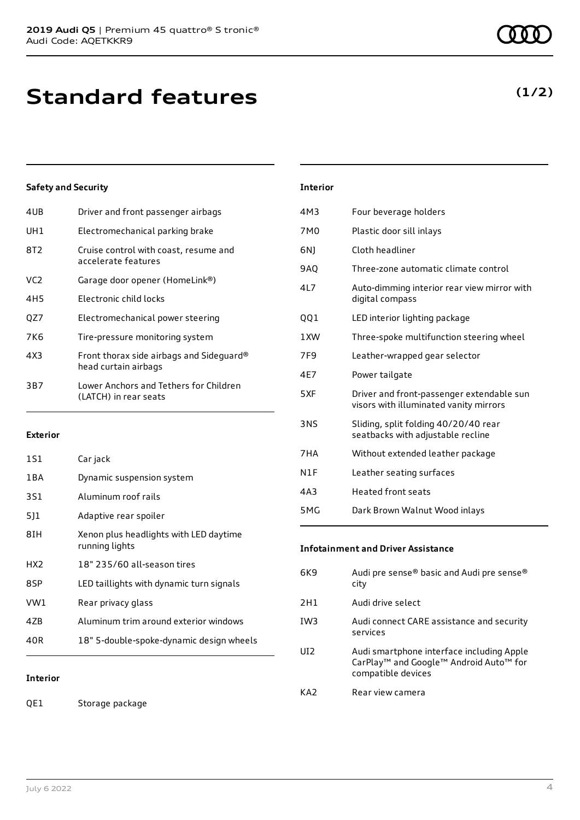| 4UB | Driver and front passenger airbags                               |
|-----|------------------------------------------------------------------|
| UH1 | Electromechanical parking brake                                  |
| 8T2 | Cruise control with coast, resume and<br>accelerate features     |
| VC2 | Garage door opener (HomeLink®)                                   |
| 4H5 | Flectronic child locks                                           |
| QZ7 | Electromechanical power steering                                 |
| 7K6 | Tire-pressure monitoring system                                  |
| 4X3 | Front thorax side airbags and Sideguard®<br>head curtain airbags |
| 3B7 | Lower Anchors and Tethers for Children<br>(LATCH) in rear seats  |
|     |                                                                  |

#### **Exterior**

| 1S1   | Car jack                                                 |
|-------|----------------------------------------------------------|
| 1 B A | Dynamic suspension system                                |
| 3S1   | Aluminum roof rails                                      |
| 511   | Adaptive rear spoiler                                    |
| 8IH   | Xenon plus headlights with LED daytime<br>running lights |
| HX2   | 18" 235/60 all-season tires                              |
| 8SP   | LED taillights with dynamic turn signals                 |
| VW1   | Rear privacy glass                                       |
| 4ZB   | Aluminum trim around exterior windows                    |
| 40R   | 18" 5-double-spoke-dynamic design wheels                 |

### **Interior**

QE1 Storage package

| <b>Interior</b> |                                                                                     |
|-----------------|-------------------------------------------------------------------------------------|
| 4M3             | Four beverage holders                                                               |
| 7M0             | Plastic door sill inlays                                                            |
| 6N1             | Cloth headliner                                                                     |
| <b>9AO</b>      | Three-zone automatic climate control                                                |
| 417             | Auto-dimming interior rear view mirror with<br>digital compass                      |
| QQ1             | LED interior lighting package                                                       |
| 1 XW            | Three-spoke multifunction steering wheel                                            |
| 7F9             | Leather-wrapped gear selector                                                       |
| 4E7             | Power tailgate                                                                      |
| 5XF             | Driver and front-passenger extendable sun<br>visors with illuminated vanity mirrors |
| <b>3NS</b>      | Sliding, split folding 40/20/40 rear<br>seatbacks with adjustable recline           |
| 7HA             | Without extended leather package                                                    |
| N1F             | Leather seating surfaces                                                            |
| 4A3             | Heated front seats                                                                  |
| 5MG             | Dark Brown Walnut Wood inlays                                                       |

### **Infotainment and Driver Assistance**

| 6K9             | Audi pre sense® basic and Audi pre sense®<br>city                                                                                             |
|-----------------|-----------------------------------------------------------------------------------------------------------------------------------------------|
| 2H1             | Audi drive select                                                                                                                             |
| IW <sub>3</sub> | Audi connect CARE assistance and security<br>services                                                                                         |
| UD <sub>2</sub> | Audi smartphone interface including Apple<br>CarPlay <sup>™</sup> and Google <sup>™</sup> Android Auto <sup>™</sup> for<br>compatible devices |
| KA2             | Rear view camera                                                                                                                              |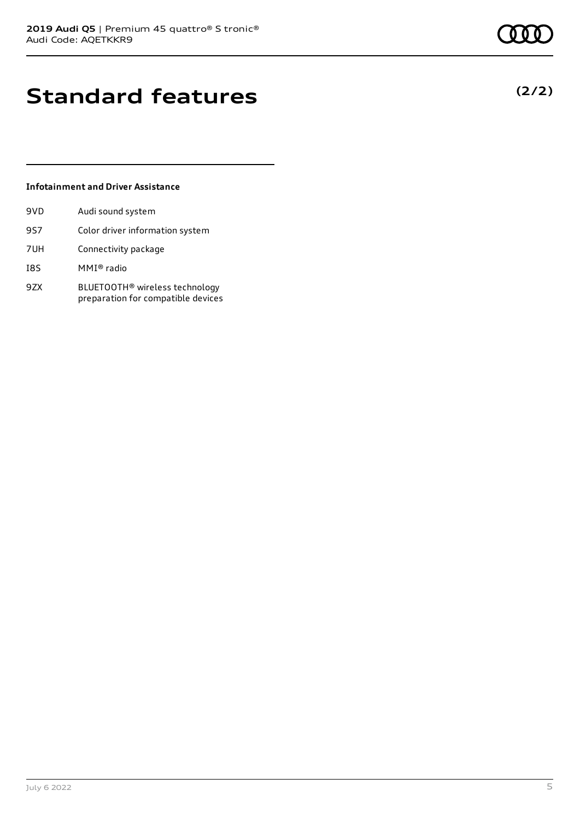# **Standard features**

### **Infotainment and Driver Assistance**

| 9VD | Audi sound system                                                                |
|-----|----------------------------------------------------------------------------------|
| 9S7 | Color driver information system                                                  |
| 7UH | Connectivity package                                                             |
| I8S | MMI® radio                                                                       |
| 9ZX | BLUETOOTH <sup>®</sup> wireless technology<br>preparation for compatible devices |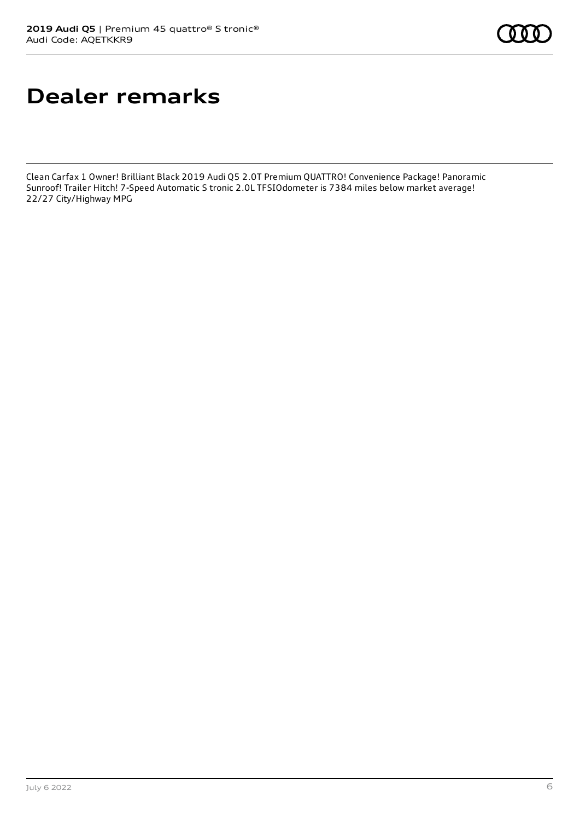# **Dealer remarks**

Clean Carfax 1 Owner! Brilliant Black 2019 Audi Q5 2.0T Premium QUATTRO! Convenience Package! Panoramic Sunroof! Trailer Hitch! 7-Speed Automatic S tronic 2.0L TFSIOdometer is 7384 miles below market average! 22/27 City/Highway MPG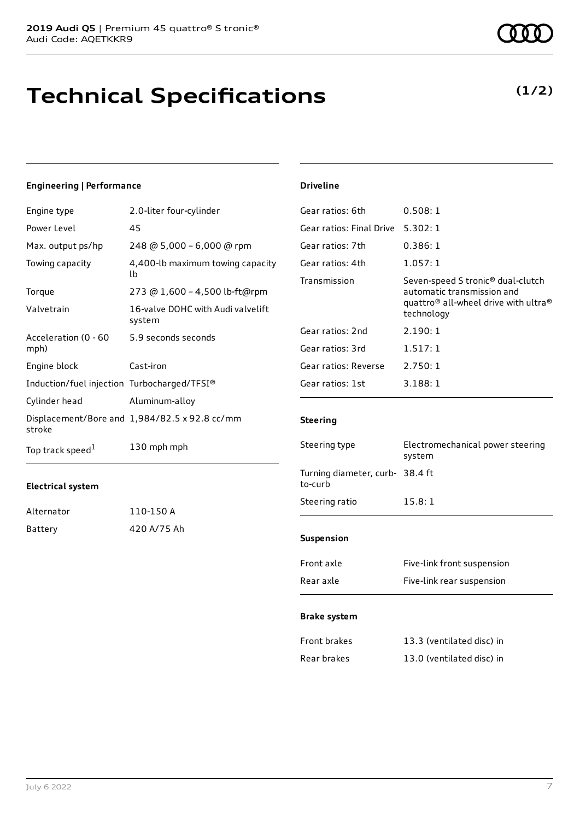# **Technical Specifications**

**(1/2)**

### **Engineering | Performance**

| Engine type                                 | 2.0-liter four-cylinder                       |
|---------------------------------------------|-----------------------------------------------|
| Power Level                                 | 45                                            |
| Max. output ps/hp                           | 248 @ 5,000 - 6,000 @ rpm                     |
| Towing capacity                             | 4,400-lb maximum towing capacity<br>lb        |
| Torque                                      | 273 @ 1,600 - 4,500 lb-ft@rpm                 |
| Valvetrain                                  | 16-valve DOHC with Audi valvelift<br>system   |
| Acceleration (0 - 60<br>mph)                | 5.9 seconds seconds                           |
| Engine block                                | Cast-iron                                     |
| Induction/fuel injection Turbocharged/TFSI® |                                               |
| Cylinder head                               | Aluminum-alloy                                |
| stroke                                      | Displacement/Bore and 1,984/82.5 x 92.8 cc/mm |
| Top track speed <sup>1</sup>                | 130 mph mph                                   |

#### **Electrical system**

| Alternator | 110-150 A   |
|------------|-------------|
| Battery    | 420 A/75 Ah |

#### **Driveline**

| 0.508:1                                                                                                                                                   |
|-----------------------------------------------------------------------------------------------------------------------------------------------------------|
| 5.302:1                                                                                                                                                   |
| 0.386:1                                                                                                                                                   |
| 1.057:1                                                                                                                                                   |
| Seven-speed S tronic <sup>®</sup> dual-clutch<br>automatic transmission and<br>quattro <sup>®</sup> all-wheel drive with ultra <sup>®</sup><br>technology |
| 2.190:1                                                                                                                                                   |
| 1.517:1                                                                                                                                                   |
| 2.750:1                                                                                                                                                   |
| 3.188:1                                                                                                                                                   |
|                                                                                                                                                           |

### **Steering**

| Electromechanical power steering<br>system |
|--------------------------------------------|
| Turning diameter, curb- 38.4 ft            |
| 15.8:1                                     |
|                                            |
| Eivo-link front cucnonsion                 |
|                                            |

| FIUIIL dXLE | <b>FIVE-UITK ITOITL SUSPEITSIOIT</b> |
|-------------|--------------------------------------|
| Rear axle   | Five-link rear suspension            |

#### **Brake system**

| Front brakes | 13.3 (ventilated disc) in |
|--------------|---------------------------|
| Rear brakes  | 13.0 (ventilated disc) in |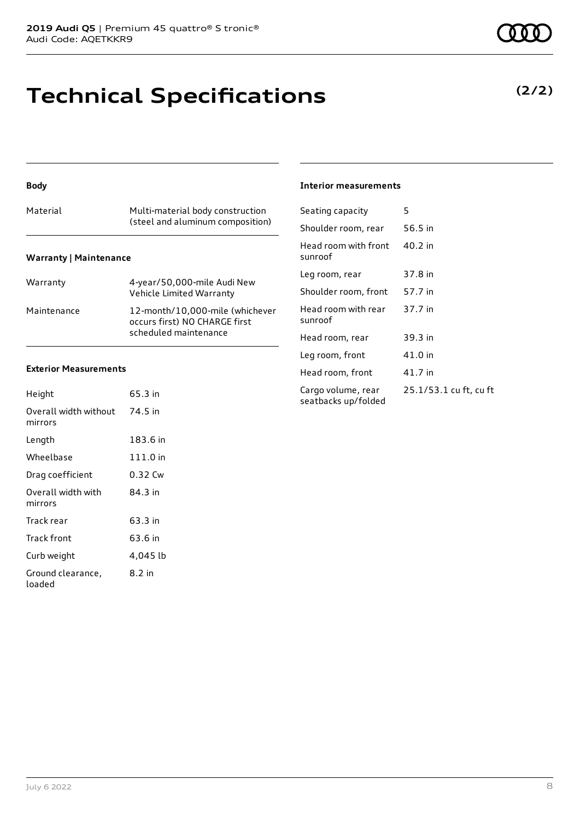# **Technical Specifications**

### **Body**

|                               | (steel and aluminum composition) |  |  |  |
|-------------------------------|----------------------------------|--|--|--|
| <b>Warranty   Maintenance</b> |                                  |  |  |  |

| Warranty    | 4-year/50,000-mile Audi New<br>Vehicle Limited Warranty                                   |
|-------------|-------------------------------------------------------------------------------------------|
| Maintenance | 12-month/10,000-mile (whichever<br>occurs first) NO CHARGE first<br>scheduled maintenance |

### **Exterior Measurements**

| Height                           | 65.3 in  |
|----------------------------------|----------|
| Overall width without<br>mirrors | 74.5 in  |
| Length                           | 183.6 in |
| Wheelbase                        | 111.0 in |
| Drag coefficient                 | 0.32 Cw  |
| Overall width with<br>mirrors    | 84.3 in  |
| Track rear                       | 63.3 in  |
| Track front                      | 63.6 in  |
| Curb weight                      | 4,045 lb |
| Ground clearance,<br>loaded      | 8.2 in   |

#### **Interior measurements**

| Seating capacity                          | 5                      |
|-------------------------------------------|------------------------|
| Shoulder room, rear                       | 56.5 in                |
| Head room with front<br>sunroof           | 40.2 in                |
| Leg room, rear                            | 37.8 in                |
| Shoulder room, front                      | 57.7 in                |
| Head room with rear<br>sunroof            | 37.7 in                |
| Head room, rear                           | 39.3 in                |
| Leg room, front                           | 41.0 in                |
| Head room, front                          | 41.7 in                |
| Cargo volume, rear<br>seatbacks up/folded | 25.1/53.1 cu ft, cu ft |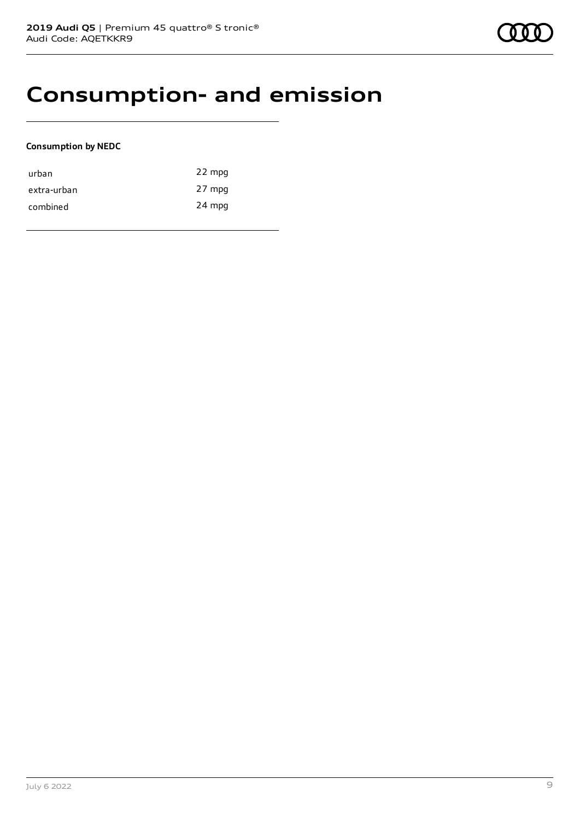# **Consumption- and emission**

### **Consumption by NEDC**

| urban       | 22 mpg |
|-------------|--------|
| extra-urban | 27 mpg |
| combined    | 24 mpg |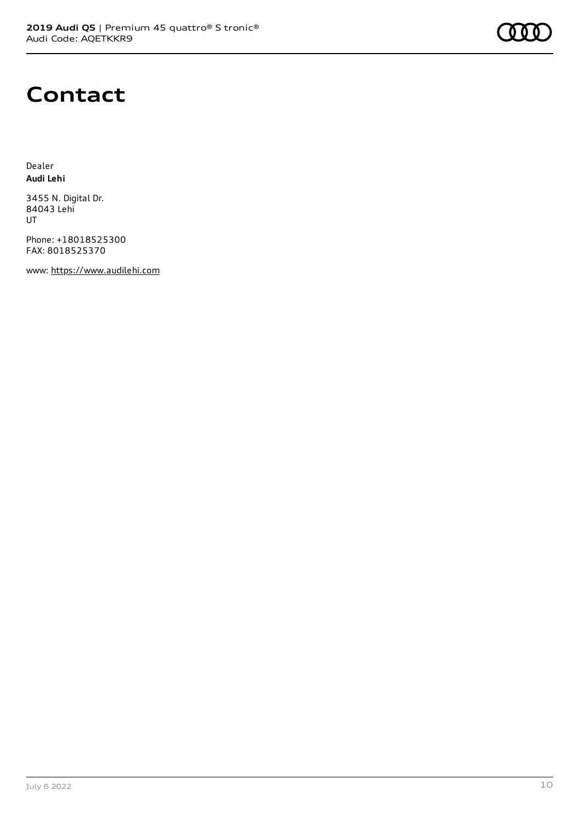

## **Contact**

Dealer **Audi Lehi**

3455 N. Digital Dr. 84043 Lehi UT

Phone: +18018525300 FAX: 8018525370

www: [https://www.audilehi.com](https://www.audilehi.com/)